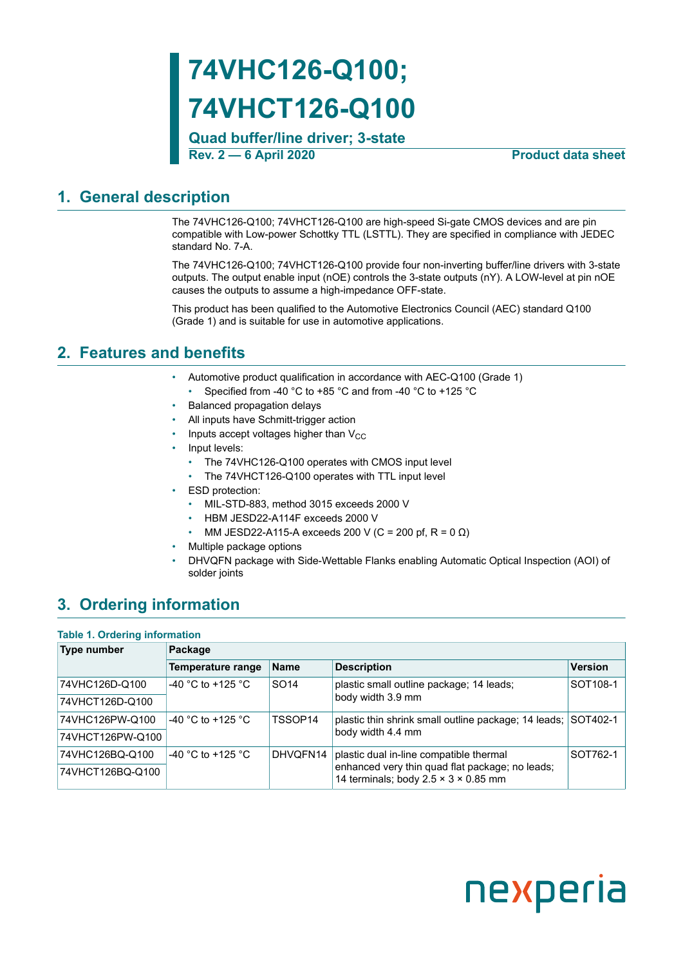# **74VHC126-Q100; 74VHCT126-Q100**

**Quad buffer/line driver; 3-state**

**Rev. 2 — 6 April 2020 Product data sheet**

## <span id="page-0-1"></span>**1. General description**

The 74VHC126-Q100; 74VHCT126-Q100 are high-speed Si-gate CMOS devices and are pin compatible with Low-power Schottky TTL (LSTTL). They are specified in compliance with JEDEC standard No. 7-A.

The 74VHC126-Q100; 74VHCT126-Q100 provide four non-inverting buffer/line drivers with 3-state outputs. The output enable input (nOE) controls the 3-state outputs (nY). A LOW-level at pin nOE causes the outputs to assume a high-impedance OFF-state.

This product has been qualified to the Automotive Electronics Council (AEC) standard Q100 (Grade 1) and is suitable for use in automotive applications.

## <span id="page-0-0"></span>**2. Features and benefits**

- Automotive product qualification in accordance with AEC-Q100 (Grade 1)
	- Specified from -40 °C to +85 °C and from -40 °C to +125 °C
- Balanced propagation delays
- All inputs have Schmitt-trigger action
- Inputs accept voltages higher than  $V_{CC}$
- Input levels:
	- The 74VHC126-Q100 operates with CMOS input level
	- The 74VHCT126-Q100 operates with TTL input level
- ESD protection:
	- MIL-STD-883, method 3015 exceeds 2000 V
	- HBM JESD22-A114F exceeds 2000 V
	- MM JESD22-A115-A exceeds 200 V (C = 200 pf, R = 0 Ω)
- Multiple package options
- DHVQFN package with Side-Wettable Flanks enabling Automatic Optical Inspection (AOI) of solder joints

## <span id="page-0-2"></span>**3. Ordering information**

#### **Table 1. Ordering information**

| Type number      | Package           |                  |                                                                                                     |                |  |  |  |  |  |
|------------------|-------------------|------------------|-----------------------------------------------------------------------------------------------------|----------------|--|--|--|--|--|
|                  | Temperature range | <b>Name</b>      | <b>Description</b>                                                                                  | <b>Version</b> |  |  |  |  |  |
| 74VHC126D-Q100   | -40 °C to +125 °C | SO <sub>14</sub> | plastic small outline package; 14 leads;                                                            | SOT108-1       |  |  |  |  |  |
| 74VHCT126D-Q100  |                   |                  | body width 3.9 mm                                                                                   |                |  |  |  |  |  |
| 74VHC126PW-Q100  | -40 °C to +125 °C | TSSOP14          | plastic thin shrink small outline package; 14 leads;                                                | SOT402-1       |  |  |  |  |  |
| 74VHCT126PW-Q100 |                   |                  | body width 4.4 mm                                                                                   |                |  |  |  |  |  |
| 74VHC126BQ-Q100  | -40 °C to +125 °C | DHVQFN14         | plastic dual in-line compatible thermal                                                             | SOT762-1       |  |  |  |  |  |
| 74VHCT126BQ-Q100 |                   |                  | enhanced very thin quad flat package; no leads;<br>14 terminals; body $2.5 \times 3 \times 0.85$ mm |                |  |  |  |  |  |

# nexperia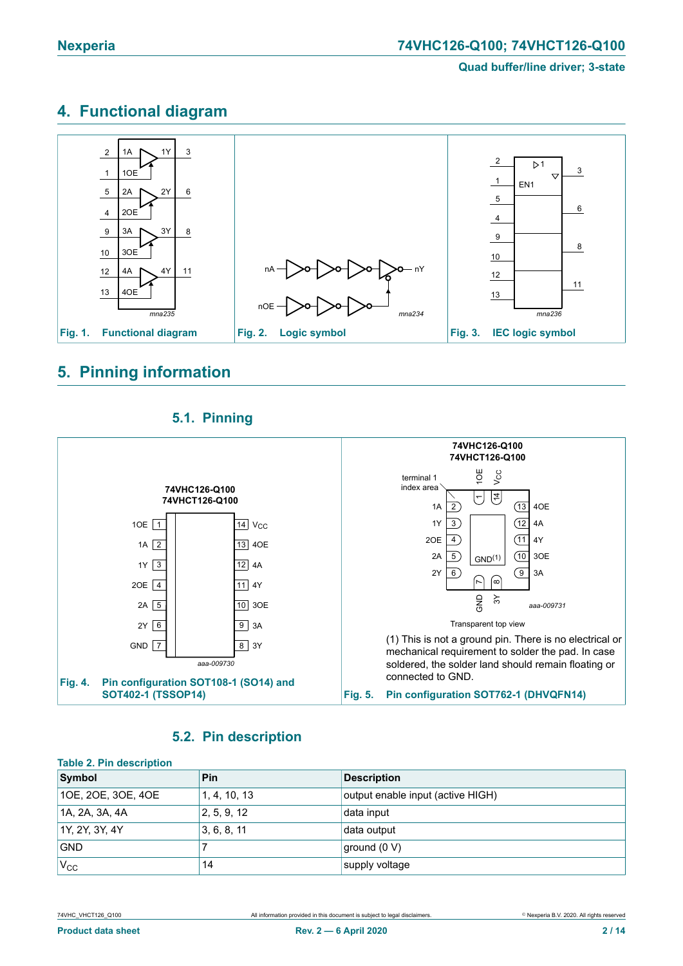## <span id="page-1-0"></span>**4. Functional diagram**



## <span id="page-1-1"></span>**5. Pinning information**



## <span id="page-1-2"></span>**5.1. Pinning**

## <span id="page-1-3"></span>**5.2. Pin description**

|  |  | <b>Table 2. Pin description</b> |
|--|--|---------------------------------|
|  |  |                                 |

| TADIC Z. FIII UCSUIDUUI |              |                                   |  |  |  |  |  |  |
|-------------------------|--------------|-----------------------------------|--|--|--|--|--|--|
| Symbol                  | <b>Pin</b>   | <b>Description</b>                |  |  |  |  |  |  |
| 10E, 20E, 30E, 40E      | 1, 4, 10, 13 | output enable input (active HIGH) |  |  |  |  |  |  |
| 1A, 2A, 3A, 4A          | 2, 5, 9, 12  | data input                        |  |  |  |  |  |  |
| 1Y, 2Y, 3Y, 4Y          | 3, 6, 8, 11  | data output                       |  |  |  |  |  |  |
| <b>GND</b>              |              | $q$ round (0 V)                   |  |  |  |  |  |  |
| $V_{\rm CC}$            | 14           | supply voltage                    |  |  |  |  |  |  |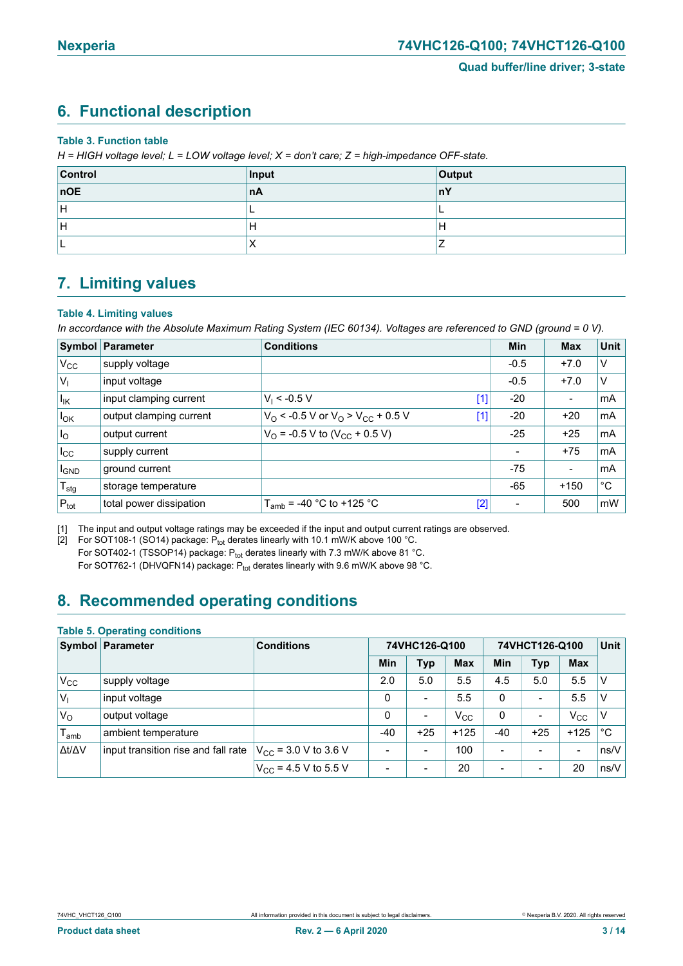## <span id="page-2-2"></span><span id="page-2-0"></span>**6. Functional description**

### **Table 3. Function table**

*H = HIGH voltage level; L = LOW voltage level; X = don't care; Z = high-impedance OFF-state.*

| Control | Input | Output |
|---------|-------|--------|
| nOE     | ∣nA   | nY     |
| ΙH      |       | -      |
| H       |       | Ħ      |
|         |       |        |

# <span id="page-2-3"></span>**7. Limiting values**

### <span id="page-2-1"></span>**Table 4. Limiting values**

In accordance with the Absolute Maximum Rating System (IEC 60134). Voltages are referenced to GND (ground = 0 V).

|                        | Symbol Parameter        | <b>Conditions</b>                                                      | <b>Min</b>               | <b>Max</b>               | <b>Unit</b>  |
|------------------------|-------------------------|------------------------------------------------------------------------|--------------------------|--------------------------|--------------|
| $V_{CC}$               | supply voltage          |                                                                        | $-0.5$                   | $+7.0$                   | V            |
| $ V_1 $                | input voltage           |                                                                        | $-0.5$                   | $+7.0$                   | $\vee$       |
| $I_{IK}$               | input clamping current  | $V_1$ < -0.5 V<br>$[1]$                                                | $-20$                    | $\overline{\phantom{a}}$ | mA           |
| $I_{OK}$               | output clamping current | $V_{\Omega}$ < -0.5 V or $V_{\Omega}$ > $V_{\text{CC}}$ + 0.5 V<br>[1] | $-20$                    | $+20$                    | mA           |
| I <sub>o</sub>         | output current          | $V_{\text{O}}$ = -0.5 V to (V <sub>CC</sub> + 0.5 V)                   | $-25$                    | $+25$                    | mA           |
| $I_{\rm CC}$           | supply current          |                                                                        | $\overline{\phantom{a}}$ | $+75$                    | mA           |
| <b>I<sub>GND</sub></b> | ground current          |                                                                        | $-75$                    | $\blacksquare$           | mA           |
| $T_{\text{stg}}$       | storage temperature     |                                                                        | $-65$                    | $+150$                   | $^{\circ}$ C |
| $P_{\text{tot}}$       | total power dissipation | $[2]$<br>$T_{amb}$ = -40 °C to +125 °C                                 | $\blacksquare$           | 500                      | mW           |

[1] The input and output voltage ratings may be exceeded if the input and output current ratings are observed.

[2] For SOT108-1 (SO14) package: Ptot derates linearly with 10.1 mW/K above 100 °C.

For SOT402-1 (TSSOP14) package: P<sub>tot</sub> derates linearly with 7.3 mW/K above 81 °C.

For SOT762-1 (DHVQFN14) package:  $P_{tot}$  derates linearly with 9.6 mW/K above 98 °C.

# <span id="page-2-4"></span>**8. Recommended operating conditions**

## **Table 5. Operating conditions**

|                | Symbol Parameter                    | <b>Conditions</b>         | 74VHC126-Q100            |                          |              | 74VHCT126-Q100 | <b>Unit</b>              |                          |             |
|----------------|-------------------------------------|---------------------------|--------------------------|--------------------------|--------------|----------------|--------------------------|--------------------------|-------------|
|                |                                     |                           | Min                      | <b>Typ</b>               | <b>Max</b>   | Min            | <b>Typ</b>               | <b>Max</b>               |             |
| $V_{\rm CC}$   | supply voltage                      |                           | 2.0                      | 5.0                      | 5.5          | 4.5            | 5.0                      | 5.5                      | ν           |
| V <sub>1</sub> | input voltage                       |                           | 0                        | $\overline{\phantom{a}}$ | 5.5          | $\Omega$       | $\blacksquare$           | 5.5                      | v           |
| $V_{\rm O}$    | output voltage                      |                           | 0                        | $\overline{\phantom{a}}$ | $V_{\rm CC}$ | 0              | $\overline{\phantom{a}}$ | $V_{\rm CC}$             | V           |
| $T_{amb}$      | ambient temperature                 |                           | $-40$                    | $+25$                    | $+125$       | $-40$          | $+25$                    | $+125$                   | $^{\circ}C$ |
| <b>Δt/ΔV</b>   | input transition rise and fall rate | $V_{CC}$ = 3.0 V to 3.6 V | $\overline{\phantom{a}}$ | $\overline{\phantom{a}}$ | 100          | $\blacksquare$ | $\overline{\phantom{a}}$ | $\overline{\phantom{a}}$ | ns/V        |
|                |                                     | $V_{CC}$ = 4.5 V to 5.5 V | $\overline{\phantom{a}}$ | $\blacksquare$           | 20           | $\blacksquare$ | $\blacksquare$           | 20                       | ns/V        |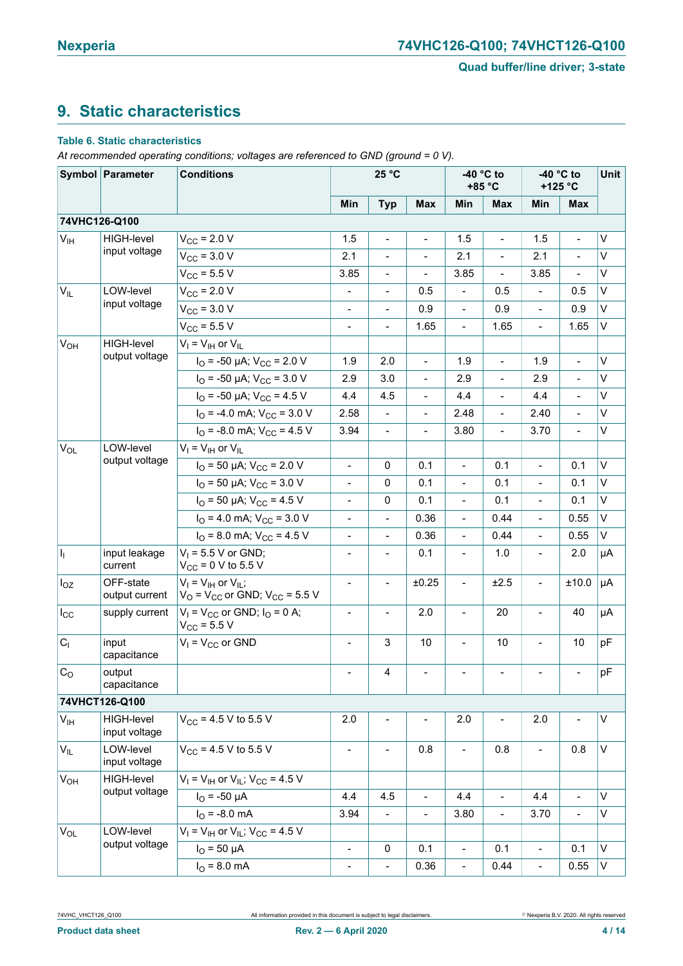# <span id="page-3-0"></span>**9. Static characteristics**

## **Table 6. Static characteristics**

*At recommended operating conditions; voltages are referenced to GND (ground = 0 V).*

|                 | Symbol Parameter            | <b>Conditions</b>                                                                       |                              | 25 °C                        |                              |                              | -40 °C to<br>+85 °C          |                              | -40 °C to<br>+125 °C     | Unit   |
|-----------------|-----------------------------|-----------------------------------------------------------------------------------------|------------------------------|------------------------------|------------------------------|------------------------------|------------------------------|------------------------------|--------------------------|--------|
|                 |                             |                                                                                         | <b>Min</b>                   | <b>Typ</b>                   | <b>Max</b>                   | Min                          | <b>Max</b>                   | Min                          | <b>Max</b>               |        |
|                 | 74VHC126-Q100               |                                                                                         |                              |                              |                              |                              |                              |                              |                          |        |
| V <sub>IH</sub> | HIGH-level                  | $V_{CC}$ = 2.0 V                                                                        | 1.5                          | $\blacksquare$               | $\overline{\phantom{a}}$     | 1.5                          | $\blacksquare$               | 1.5                          | $\blacksquare$           | V      |
|                 | input voltage               | $V_{CC}$ = 3.0 V                                                                        | 2.1                          |                              |                              | 2.1                          |                              | 2.1                          | $\overline{a}$           | V      |
|                 |                             | $V_{CC}$ = 5.5 V                                                                        | 3.85                         | $\overline{\phantom{a}}$     | $\blacksquare$               | 3.85                         | $\overline{\phantom{a}}$     | 3.85                         | $\overline{a}$           | V      |
| $V_{IL}$        | LOW-level                   | $V_{CC}$ = 2.0 V                                                                        | $\qquad \qquad \blacksquare$ | $\overline{\phantom{a}}$     | 0.5                          | $\frac{1}{2}$                | 0.5                          | $\frac{1}{2}$                | 0.5                      | V      |
|                 | input voltage               | $V_{CC}$ = 3.0 V                                                                        | $\qquad \qquad \blacksquare$ | $\overline{\phantom{a}}$     | 0.9                          | $\blacksquare$               | 0.9                          | $\frac{1}{2}$                | 0.9                      | V      |
|                 |                             | $V_{CC}$ = 5.5 V                                                                        | $\overline{\phantom{a}}$     | $\qquad \qquad \blacksquare$ | 1.65                         | $\blacksquare$               | 1.65                         | $\blacksquare$               | 1.65                     | V      |
| V <sub>OH</sub> | <b>HIGH-level</b>           | $V_I = V_{IH}$ or $V_{IL}$                                                              |                              |                              |                              |                              |                              |                              |                          |        |
|                 | output voltage              | $I_{\text{O}}$ = -50 µA; $V_{\text{CC}}$ = 2.0 V                                        | 1.9                          | 2.0                          | $\overline{\phantom{a}}$     | 1.9                          | $\blacksquare$               | 1.9                          | $\blacksquare$           | V      |
|                 |                             | $I_{\text{O}}$ = -50 µA; $V_{\text{CC}}$ = 3.0 V                                        | 2.9                          | 3.0                          | $\blacksquare$               | 2.9                          | $\overline{\phantom{a}}$     | 2.9                          | $\overline{\phantom{0}}$ | V      |
|                 |                             | $I_{\Omega}$ = -50 µA; $V_{CC}$ = 4.5 V                                                 | 4.4                          | 4.5                          | $\overline{\phantom{a}}$     | 4.4                          | $\frac{1}{2}$                | 4.4                          | $\frac{1}{2}$            | V      |
|                 |                             | $IO$ = -4.0 mA; $VCC$ = 3.0 V                                                           | 2.58                         |                              | $\overline{\phantom{a}}$     | 2.48                         | $\overline{a}$               | 2.40                         | $\overline{\phantom{a}}$ | V      |
|                 |                             | $I_{\text{O}}$ = -8.0 mA; $V_{\text{CC}}$ = 4.5 V                                       | 3.94                         | $\overline{\phantom{a}}$     | $\overline{\phantom{a}}$     | 3.80                         | $\blacksquare$               | 3.70                         | $\blacksquare$           | V      |
| $V_{OL}$        | LOW-level                   | $V_I = V_{IH}$ or $V_{IL}$                                                              |                              |                              |                              |                              |                              |                              |                          |        |
|                 | output voltage              | $I_{\text{O}}$ = 50 µA; $V_{\text{CC}}$ = 2.0 V                                         | $\blacksquare$               | $\mathbf 0$                  | 0.1                          | $\blacksquare$               | 0.1                          | $\blacksquare$               | 0.1                      | V      |
|                 |                             | $I_{\text{O}}$ = 50 µA; $V_{\text{CC}}$ = 3.0 V                                         | $\overline{\phantom{a}}$     | $\mathbf 0$                  | 0.1                          | $\blacksquare$               | 0.1                          | $\blacksquare$               | 0.1                      | V      |
|                 |                             | $I_{\text{O}}$ = 50 µA; V <sub>CC</sub> = 4.5 V                                         | $\overline{\phantom{a}}$     | 0                            | 0.1                          | $\overline{\phantom{a}}$     | 0.1                          | $\overline{\phantom{a}}$     | 0.1                      | V      |
|                 |                             | $IO$ = 4.0 mA; $VCC$ = 3.0 V                                                            | $\qquad \qquad \blacksquare$ | $\blacksquare$               | 0.36                         | $\overline{\phantom{a}}$     | 0.44                         | $\blacksquare$               | 0.55                     | V      |
|                 |                             | $IO$ = 8.0 mA; $VCC$ = 4.5 V                                                            | $\blacksquare$               | $\overline{\phantom{a}}$     | 0.36                         | $\overline{a}$               | 0.44                         | $\overline{\phantom{a}}$     | 0.55                     | V      |
| h,              | input leakage<br>current    | $V_1 = 5.5 V$ or GND;<br>$V_{CC}$ = 0 V to 5.5 V                                        | $\overline{\phantom{a}}$     |                              | 0.1                          | $\blacksquare$               | 1.0                          | $\blacksquare$               | 2.0                      | μA     |
| $I_{OZ}$        | OFF-state<br>output current | $V_1 = V_{1H}$ or $V_{1L}$ ;<br>$V_{\rm O}$ = $V_{\rm CC}$ or GND; $V_{\rm CC}$ = 5.5 V | $\blacksquare$               | $\qquad \qquad \blacksquare$ | ±0.25                        | $\overline{\phantom{a}}$     | ±2.5                         | $\overline{\phantom{a}}$     | ±10.0                    | μA     |
| $I_{\rm CC}$    | supply current              | $V_1 = V_{CC}$ or GND; $I_0 = 0$ A;<br>$V_{\text{CC}}$ = 5.5 V                          | $\overline{\phantom{a}}$     |                              | 2.0                          | $\blacksquare$               | 20                           | $\overline{\phantom{a}}$     | 40                       | μA     |
| C <sub>1</sub>  | input<br>capacitance        | $V_1 = V_{CC}$ or GND                                                                   | $\qquad \qquad \blacksquare$ | 3                            | 10                           | $\overline{\phantom{a}}$     | 10                           | $\frac{1}{2}$                | 10                       | pF     |
| C <sub>O</sub>  | output<br>capacitance       |                                                                                         | $\qquad \qquad \blacksquare$ | 4                            | $\qquad \qquad \blacksquare$ | $\qquad \qquad \blacksquare$ | $\qquad \qquad \blacksquare$ | $\qquad \qquad \blacksquare$ | $\overline{\phantom{a}}$ | pF     |
|                 | 74VHCT126-Q100              |                                                                                         |                              |                              |                              |                              |                              |                              |                          |        |
| $V_{IH}$        | HIGH-level<br>input voltage | $V_{CC}$ = 4.5 V to 5.5 V                                                               | 2.0                          | $\qquad \qquad \blacksquare$ |                              | 2.0                          | $\frac{1}{2}$                | 2.0                          | $\frac{1}{2}$            | V      |
| $V_{IL}$        | LOW-level<br>input voltage  | $V_{CC}$ = 4.5 V to 5.5 V                                                               | $\overline{\phantom{a}}$     | $\frac{1}{2}$                | 0.8                          | $\blacksquare$               | 0.8                          | $\blacksquare$               | 0.8                      | $\vee$ |
| $V_{OH}$        | HIGH-level                  | $V_1$ = $V_{1H}$ or $V_{1L}$ ; $V_{CC}$ = 4.5 V                                         |                              |                              |                              |                              |                              |                              |                          |        |
|                 | output voltage              | $I_{\Omega}$ = -50 µA                                                                   | 4.4                          | 4.5                          | $\blacksquare$               | 4.4                          | $\frac{1}{2}$                | 4.4                          | $\frac{1}{2}$            | V      |
|                 |                             | $I_{\Omega}$ = -8.0 mA                                                                  | 3.94                         |                              | $\frac{1}{2}$                | 3.80                         | $\frac{1}{2}$                | 3.70                         | $\overline{\phantom{a}}$ | V      |
| $V_{OL}$        | LOW-level                   | $V_1 = V_{IH}$ or $V_{IL}$ ; $V_{CC} = 4.5$ V                                           |                              |                              |                              |                              |                              |                              |                          |        |
|                 | output voltage              | $I_{\Omega}$ = 50 µA                                                                    | $\blacksquare$               | 0                            | 0.1                          | $\frac{1}{2}$                | 0.1                          | $\qquad \qquad \blacksquare$ | 0.1                      | V      |
|                 |                             | $IO$ = 8.0 mA                                                                           | $\qquad \qquad \blacksquare$ | $\blacksquare$               | 0.36                         | $\blacksquare$               | 0.44                         | $\frac{1}{2}$                | 0.55                     | V      |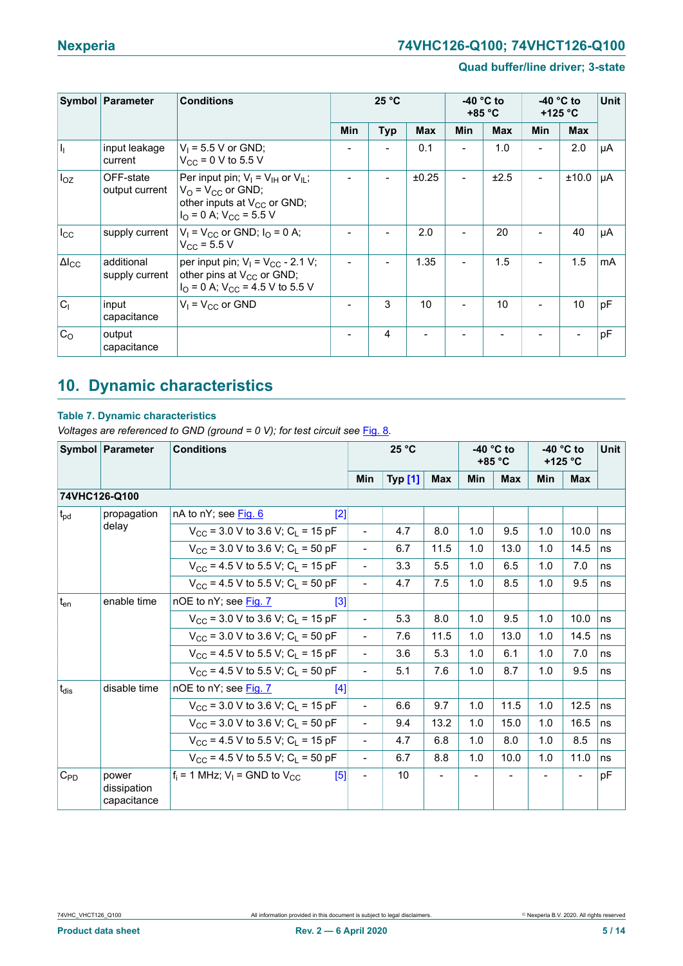|                     | Symbol Parameter             | <b>Conditions</b>                                                                                                                                                             | 25 °C      |                          |            | -40 °C to<br>$+85 °C$    |            | -40 $^{\circ}$ C to<br>+125 $^{\circ}$ C |            | <b>Unit</b> |
|---------------------|------------------------------|-------------------------------------------------------------------------------------------------------------------------------------------------------------------------------|------------|--------------------------|------------|--------------------------|------------|------------------------------------------|------------|-------------|
|                     |                              |                                                                                                                                                                               | <b>Min</b> | <b>Typ</b>               | <b>Max</b> | Min                      | <b>Max</b> | <b>Min</b>                               | <b>Max</b> |             |
| h                   | input leakage<br>current     | $V_1 = 5.5 V$ or GND;<br>$V_{CC}$ = 0 V to 5.5 V                                                                                                                              |            | $\overline{\phantom{a}}$ | 0.1        | $\overline{\phantom{a}}$ | 1.0        | $\blacksquare$                           | 2.0        | μA          |
| $I_{OZ}$            | OFF-state<br>output current  | Per input pin; $V_1 = V_{1H}$ or $V_{1I}$ ;<br>$V_{\rm O}$ = $V_{\rm CC}$ or GND;<br>other inputs at V <sub>CC</sub> or GND;<br>$I_{\text{O}}$ = 0 A; $V_{\text{CC}}$ = 5.5 V |            |                          | ±0.25      |                          | ±2.5       | $\overline{a}$                           | ±10.0      | μA          |
| $I_{\rm CC}$        | supply current               | $V_1 = V_{CC}$ or GND; $I_0 = 0$ A;<br>$V_{C}$ = 5.5 V                                                                                                                        |            |                          | 2.0        | $\overline{\phantom{a}}$ | 20         |                                          | 40         | μA          |
| $\Delta I_{\rm CC}$ | additional<br>supply current | per input pin; $V_1 = V_{CC} - 2.1 V$ ;<br>other pins at $V_{CC}$ or GND;<br>$I_{\Omega}$ = 0 A; V <sub>CC</sub> = 4.5 V to 5.5 V                                             |            |                          | 1.35       | $\overline{\phantom{0}}$ | 1.5        | $\overline{a}$                           | 1.5        | mA          |
| $ C_1 $             | input<br>capacitance         | $V_1 = V_{CC}$ or GND                                                                                                                                                         | -          | 3                        | 10         | $\overline{\phantom{a}}$ | 10         | $\blacksquare$                           | 10         | pF          |
| C <sub>O</sub>      | output<br>capacitance        |                                                                                                                                                                               |            | $\overline{4}$           |            |                          |            |                                          |            | pF          |

# <span id="page-4-0"></span>**10. Dynamic characteristics**

## **Table 7. Dynamic characteristics**

*Voltages are referenced to GND (ground = 0 V); for test circuit see* [Fig. 8](#page-7-0)*.*

|               | Symbol Parameter                    | <b>Conditions</b>                                 | 25 °C                    |                | -40 $^{\circ}$ C to<br>$+85 °C$ |     | -40 $^{\circ}$ C to<br>+125 °C |     | Unit       |    |
|---------------|-------------------------------------|---------------------------------------------------|--------------------------|----------------|---------------------------------|-----|--------------------------------|-----|------------|----|
|               |                                     |                                                   | Min                      | <b>Typ [1]</b> | <b>Max</b>                      | Min | <b>Max</b>                     | Min | <b>Max</b> |    |
| 74VHC126-Q100 |                                     |                                                   |                          |                |                                 |     |                                |     |            |    |
| $t_{pd}$      | propagation                         | $[2]$<br>$nA$ to $nY$ ; see Fig. 6                |                          |                |                                 |     |                                |     |            |    |
|               | delay                               | $V_{CC}$ = 3.0 V to 3.6 V; C <sub>1</sub> = 15 pF | $\blacksquare$           | 4.7            | 8.0                             | 1.0 | 9.5                            | 1.0 | 10.0       | ns |
|               |                                     | $V_{CC}$ = 3.0 V to 3.6 V; C <sub>1</sub> = 50 pF | $\blacksquare$           | 6.7            | 11.5                            | 1.0 | 13.0                           | 1.0 | 14.5       | ns |
|               |                                     | $V_{CC}$ = 4.5 V to 5.5 V; C <sub>1</sub> = 15 pF | $\blacksquare$           | 3.3            | 5.5                             | 1.0 | 6.5                            | 1.0 | 7.0        | ns |
|               |                                     | $V_{CC}$ = 4.5 V to 5.5 V; C <sub>1</sub> = 50 pF | $\blacksquare$           | 4.7            | 7.5                             | 1.0 | 8.5                            | 1.0 | 9.5        | ns |
| $t_{en}$      | enable time                         | nOE to nY; see Fig. 7<br>[3]                      |                          |                |                                 |     |                                |     |            |    |
|               |                                     | $V_{CC}$ = 3.0 V to 3.6 V; C <sub>1</sub> = 15 pF | $\blacksquare$           | 5.3            | 8.0                             | 1.0 | 9.5                            | 1.0 | 10.0       | ns |
|               |                                     | $V_{CC}$ = 3.0 V to 3.6 V; C <sub>1</sub> = 50 pF | $\blacksquare$           | 7.6            | 11.5                            | 1.0 | 13.0                           | 1.0 | 14.5       | ns |
|               |                                     | $V_{CC}$ = 4.5 V to 5.5 V; C <sub>L</sub> = 15 pF | $\overline{\phantom{0}}$ | 3.6            | 5.3                             | 1.0 | 6.1                            | 1.0 | 7.0        | ns |
|               |                                     | $V_{CC}$ = 4.5 V to 5.5 V; C <sub>1</sub> = 50 pF | $\blacksquare$           | 5.1            | 7.6                             | 1.0 | 8.7                            | 1.0 | 9.5        | ns |
| $t_{dis}$     | disable time                        | nOE to nY; see Fig. 7<br>$[4]$                    |                          |                |                                 |     |                                |     |            |    |
|               |                                     | $V_{CC}$ = 3.0 V to 3.6 V; C <sub>1</sub> = 15 pF | $\blacksquare$           | 6.6            | 9.7                             | 1.0 | 11.5                           | 1.0 | 12.5       | ns |
|               |                                     | $V_{CC}$ = 3.0 V to 3.6 V; C <sub>1</sub> = 50 pF | $\frac{1}{2}$            | 9.4            | 13.2                            | 1.0 | 15.0                           | 1.0 | 16.5       | ns |
|               |                                     | $V_{CC}$ = 4.5 V to 5.5 V; C <sub>L</sub> = 15 pF | $\overline{\phantom{a}}$ | 4.7            | 6.8                             | 1.0 | 8.0                            | 1.0 | 8.5        | ns |
|               |                                     | $V_{CC}$ = 4.5 V to 5.5 V; C <sub>1</sub> = 50 pF | $\blacksquare$           | 6.7            | 8.8                             | 1.0 | 10.0                           | 1.0 | 11.0       | ns |
| $C_{PD}$      | power<br>dissipation<br>capacitance | $f_i = 1$ MHz; $V_i =$ GND to $V_{CC}$<br>[5]     | $\blacksquare$           | 10             |                                 |     |                                |     |            | pF |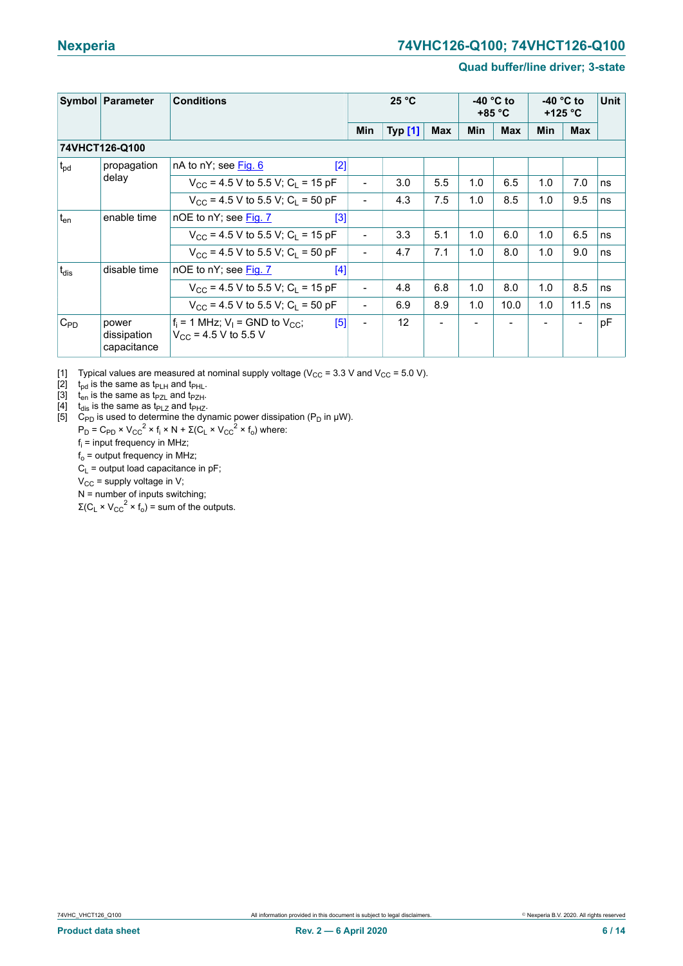<span id="page-5-0"></span>

|           | Symbol Parameter<br><b>Conditions</b> |                                                                                         | 25 °C                    |                |            | -40 $^{\circ}$ C to<br>$+85 °C$ |            | $-40$ °C to<br>+125 $\degree$ C |                          | <b>Unit</b> |
|-----------|---------------------------------------|-----------------------------------------------------------------------------------------|--------------------------|----------------|------------|---------------------------------|------------|---------------------------------|--------------------------|-------------|
|           |                                       |                                                                                         | Min                      | <b>Typ [1]</b> | <b>Max</b> | <b>Min</b>                      | <b>Max</b> | <b>Min</b>                      | <b>Max</b>               |             |
|           | 74VHCT126-Q100                        |                                                                                         |                          |                |            |                                 |            |                                 |                          |             |
| $t_{pd}$  | propagation                           | [2]<br>$nA$ to $nY$ ; see Fig. 6                                                        |                          |                |            |                                 |            |                                 |                          |             |
|           | delay                                 | $V_{CC}$ = 4.5 V to 5.5 V; C <sub>1</sub> = 15 pF                                       | $\blacksquare$           | 3.0            | 5.5        | 1.0                             | 6.5        | 1.0                             | 7.0                      | ns          |
|           |                                       | $V_{\text{CC}}$ = 4.5 V to 5.5 V; C <sub>1</sub> = 50 pF                                | $\overline{\phantom{a}}$ | 4.3            | 7.5        | 1.0                             | 8.5        | 1.0                             | 9.5                      | ns          |
| $t_{en}$  | enable time                           | nOE to nY; see Fig. 7<br>$\lceil 3 \rceil$                                              |                          |                |            |                                 |            |                                 |                          |             |
|           |                                       | $V_{\text{CC}}$ = 4.5 V to 5.5 V; C <sub>1</sub> = 15 pF                                | $\overline{\phantom{a}}$ | 3.3            | 5.1        | 1.0                             | 6.0        | 1.0                             | 6.5                      | ns          |
|           |                                       | $V_{\text{CC}}$ = 4.5 V to 5.5 V; C <sub>1</sub> = 50 pF                                | $\blacksquare$           | 4.7            | 7.1        | 1.0                             | 8.0        | 1.0                             | 9.0                      | ns          |
| $t_{dis}$ | disable time                          | nOE to nY; see Fig. 7<br>[4]                                                            |                          |                |            |                                 |            |                                 |                          |             |
|           |                                       | $V_{CC}$ = 4.5 V to 5.5 V; C <sub>1</sub> = 15 pF                                       | $\blacksquare$           | 4.8            | 6.8        | 1.0                             | 8.0        | 1.0                             | 8.5                      | ns          |
|           |                                       | $V_{\text{CC}}$ = 4.5 V to 5.5 V; C <sub>1</sub> = 50 pF                                | $\overline{\phantom{a}}$ | 6.9            | 8.9        | 1.0                             | 10.0       | 1.0                             | 11.5                     | ns          |
| $C_{PD}$  | power<br>dissipation<br>capacitance   | $f_i = 1$ MHz; $V_i =$ GND to $V_{\text{CC}}$ ;<br>[5]<br>$V_{\rm CC}$ = 4.5 V to 5.5 V | $\overline{\phantom{a}}$ | 12             |            |                                 |            |                                 | $\overline{\phantom{a}}$ | pF          |

[1] Typical values are measured at nominal supply voltage ( $V_{CC}$  = 3.3 V and  $V_{CC}$  = 5.0 V).

 $[2]$  t<sub>pd</sub> is the same as t<sub>PLH</sub> and t<sub>PHL</sub>.

[3]  $t_{en}$  is the same as  $t_{PZL}$  and  $t_{PZH}$ .

[4]  $t_{\text{dis}}$  is the same as  $t_{\text{PLZ}}$  and  $t_{\text{PHZ}}$ .

[5]  $\,$  C<sub>PD</sub> is used to determine the dynamic power dissipation (P<sub>D</sub> in μW).

 $P_D = C_{PD} \times V_{CC}^2 \times f_i \times N + \Sigma (C_L \times V_{CC}^2 \times f_o)$  where:

fi = input frequency in MHz;

 $f_0$  = output frequency in MHz;

 $C_L$  = output load capacitance in pF;

 $V_{CC}$  = supply voltage in V;

N = number of inputs switching;

 $\Sigma(C_L \times V_{CC}^2 \times f_o)$  = sum of the outputs.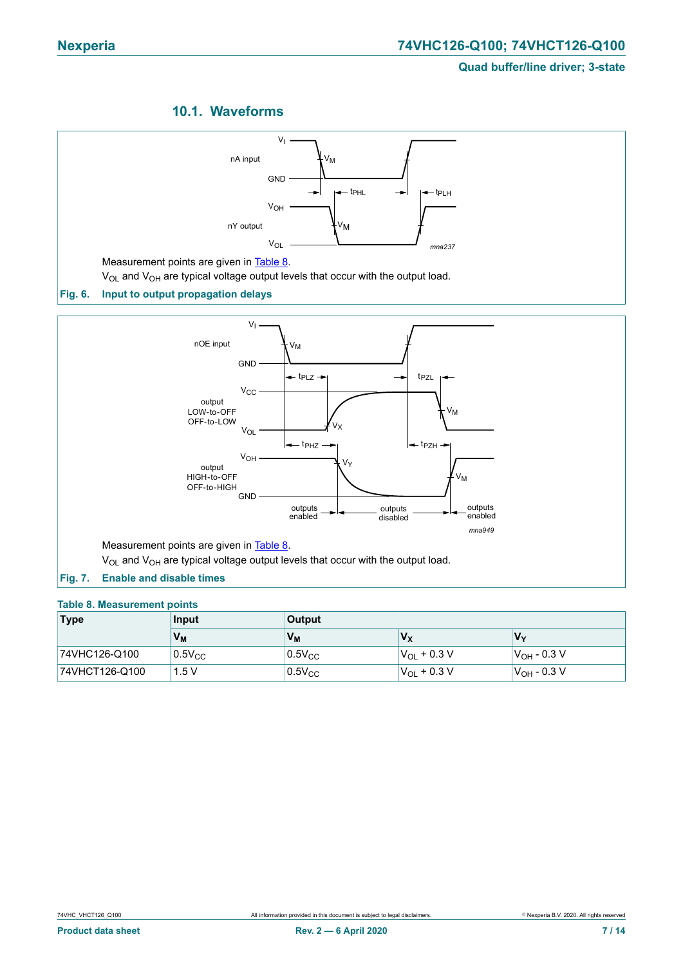## <span id="page-6-3"></span>**10.1. Waveforms**

<span id="page-6-1"></span><span id="page-6-0"></span>

<span id="page-6-2"></span>

| <b>Table 8. Measurement points</b> |             |                        |                        |                          |  |  |  |  |  |
|------------------------------------|-------------|------------------------|------------------------|--------------------------|--|--|--|--|--|
| <b>Type</b>                        | Input       | Output                 |                        |                          |  |  |  |  |  |
|                                    | $V_M$       | $V_M$                  | Vχ                     | 'V∨                      |  |  |  |  |  |
| 74VHC126-Q100                      | $0.5V_{CC}$ | $0.5V_{CC}$            | $V_{\Omega I}$ + 0.3 V | ∣V <sub>OH</sub> - 0.3 V |  |  |  |  |  |
| 74VHCT126-Q100                     | 1.5V        | $ 0.5$ V <sub>CC</sub> | $ V_{OL} + 0.3 V $     | V <sub>OH</sub> - 0.3 V  |  |  |  |  |  |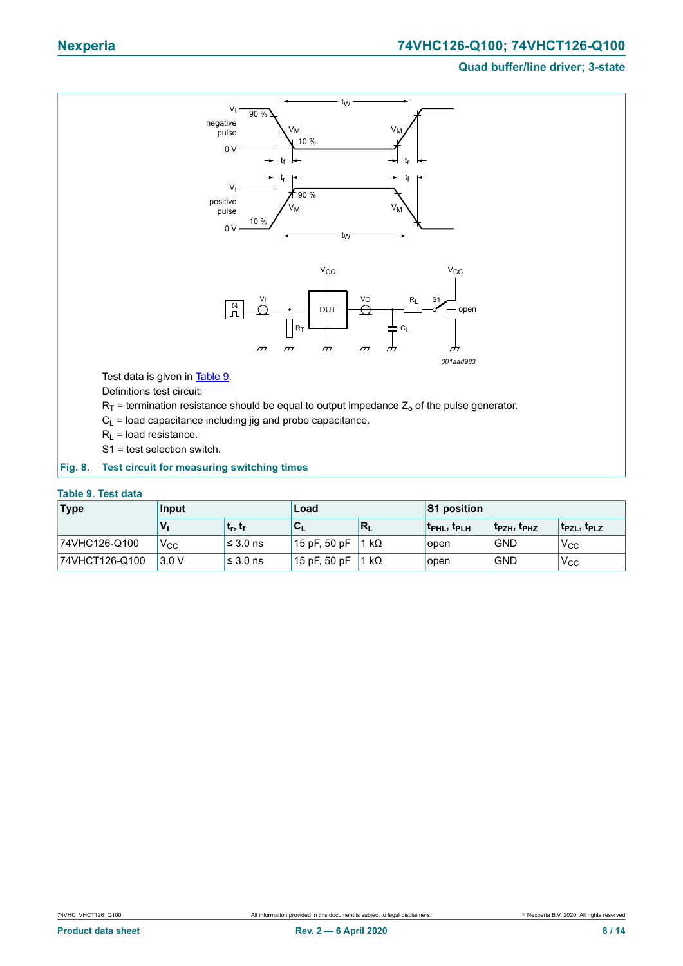<span id="page-7-0"></span>

## <span id="page-7-1"></span>**Fig. 8. Test circuit for measuring switching times**

#### **Table 9. Test data**

| <b>Type</b>    | Input           |                                 | Load                        |                 |            | <b>S1 position</b>     |                                            |  |  |
|----------------|-----------------|---------------------------------|-----------------------------|-----------------|------------|------------------------|--------------------------------------------|--|--|
|                |                 | ւ <sub>r</sub> , ւ <sub>f</sub> | ◡                           | ≀R <sub>L</sub> | TPHL, TPLH | երշн, <sup>լ</sup> թнշ | <b>T</b> <sub>PZL</sub> , T <sub>PLZ</sub> |  |  |
| 74VHC126-Q100  | V <sub>CC</sub> | $\leq 3.0$ ns                   | $15$ pF, 50 pF $\vert$ 1 kΩ |                 | open       | <b>GND</b>             | $V_{\rm CC}$                               |  |  |
| 74VHCT126-Q100 | 3.0V            | $\leq 3.0$ ns                   | 15 pF, 50 pF                | l 1 kΩ          | open       | <b>GND</b>             | V <sub>CC</sub>                            |  |  |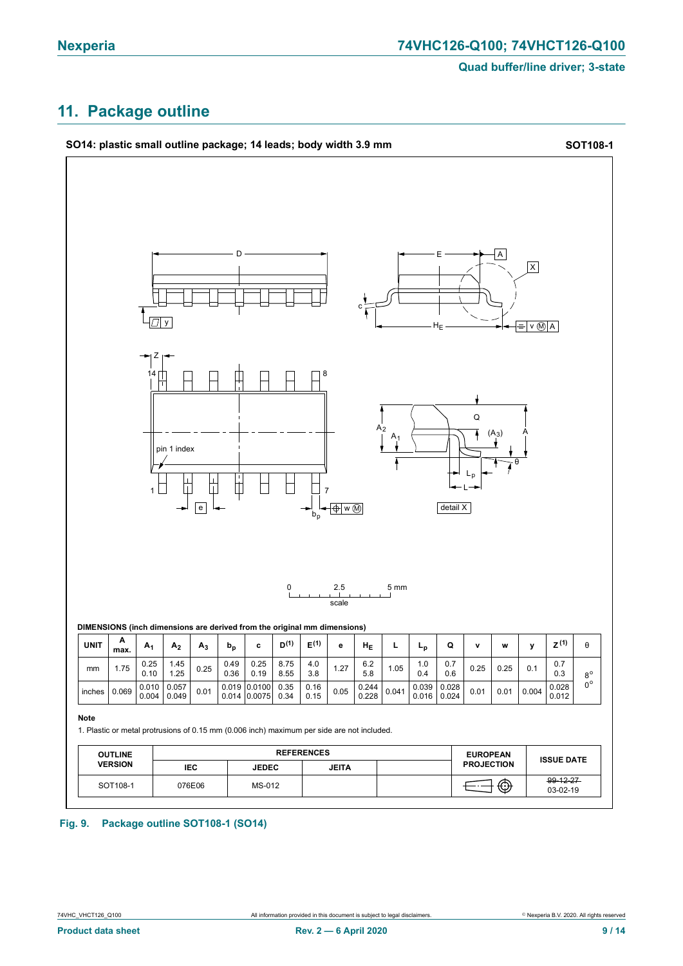# <span id="page-8-0"></span>**11. Package outline**



### **Fig. 9. Package outline SOT108-1 (SO14)**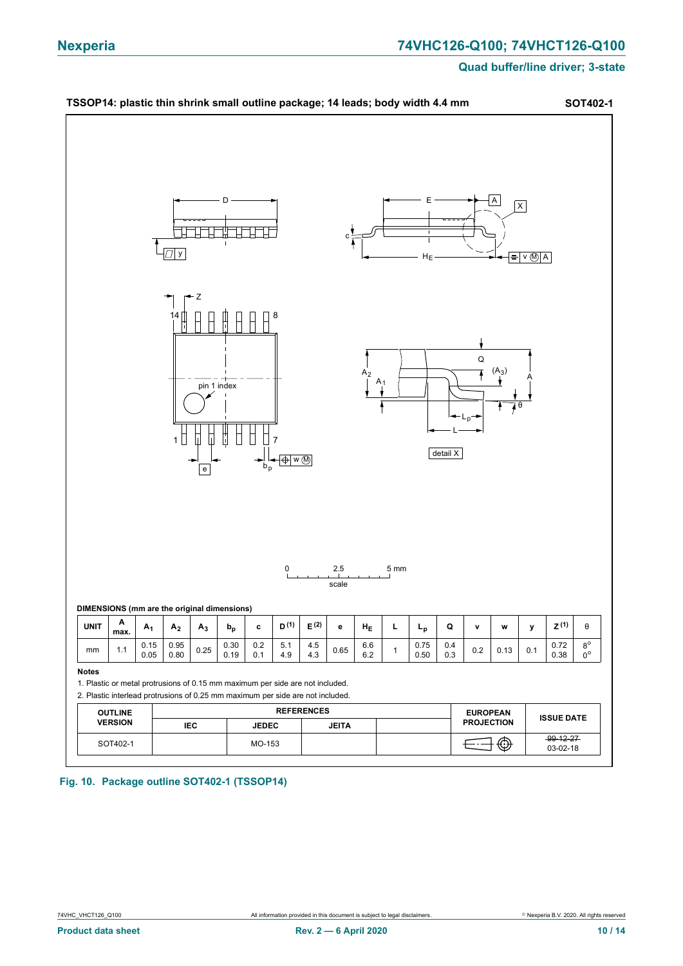

**Fig. 10. Package outline SOT402-1 (TSSOP14)**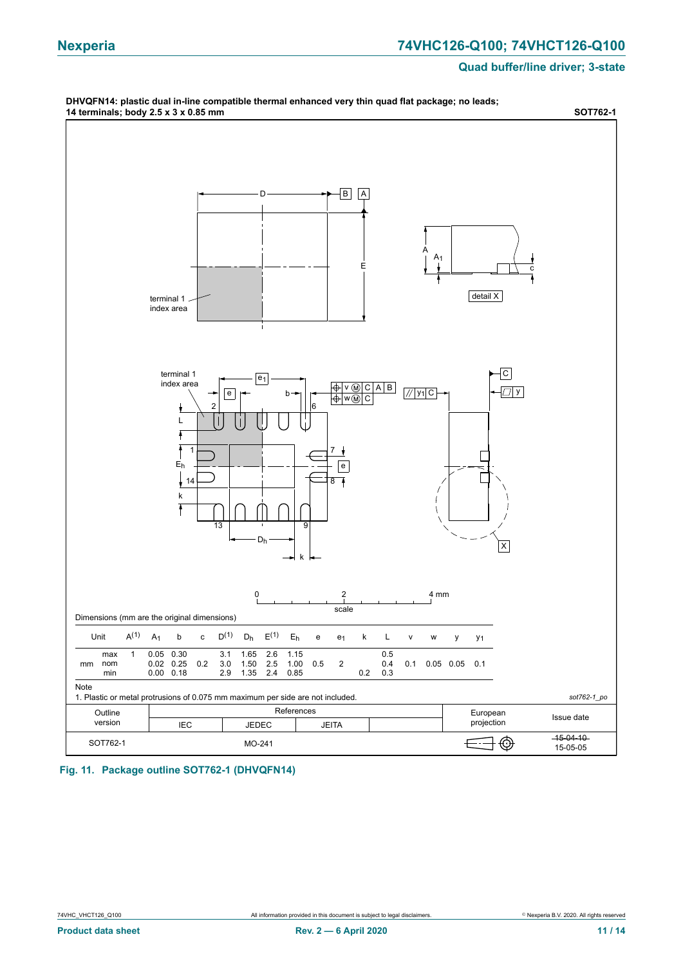

<span id="page-10-0"></span>**DHVQFN14: plastic dual in-line compatible thermal enhanced very thin quad flat package; no leads;**

**Fig. 11. Package outline SOT762-1 (DHVQFN14)**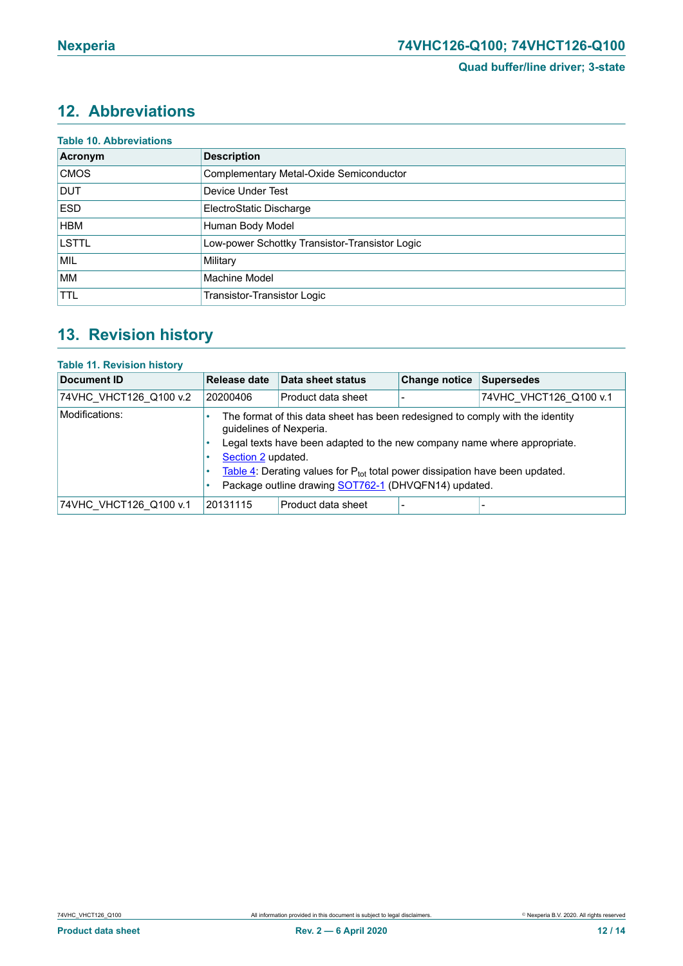# <span id="page-11-0"></span>**12. Abbreviations**

| <b>Table 10. Abbreviations</b> |                                                |
|--------------------------------|------------------------------------------------|
| Acronym                        | <b>Description</b>                             |
| <b>CMOS</b>                    | Complementary Metal-Oxide Semiconductor        |
| <b>DUT</b>                     | Device Under Test                              |
| <b>ESD</b>                     | ElectroStatic Discharge                        |
| <b>HBM</b>                     | Human Body Model                               |
| <b>LSTTL</b>                   | Low-power Schottky Transistor-Transistor Logic |
| <b>MIL</b>                     | Military                                       |
| <b>MM</b>                      | Machine Model                                  |
| <b>TTL</b>                     | Transistor-Transistor Logic                    |

# <span id="page-11-1"></span>**13. Revision history**

| <b>Table 11. Revision history</b> |                                                                                                                                                                                                                                                                                                                                                                |                    |                      |                        |  |  |  |
|-----------------------------------|----------------------------------------------------------------------------------------------------------------------------------------------------------------------------------------------------------------------------------------------------------------------------------------------------------------------------------------------------------------|--------------------|----------------------|------------------------|--|--|--|
| Document ID                       | Release date                                                                                                                                                                                                                                                                                                                                                   | Data sheet status  | <b>Change notice</b> | Supersedes             |  |  |  |
| 74VHC VHCT126 Q100 v.2            | 20200406                                                                                                                                                                                                                                                                                                                                                       | Product data sheet |                      | 74VHC VHCT126 Q100 v.1 |  |  |  |
| Modifications:                    | The format of this data sheet has been redesigned to comply with the identity<br>guidelines of Nexperia.<br>Legal texts have been adapted to the new company name where appropriate.<br>Section 2 updated.<br>Table 4: Derating values for $P_{\text{tot}}$ total power dissipation have been updated.<br>Package outline drawing SOT762-1 (DHVQFN14) updated. |                    |                      |                        |  |  |  |
| 74VHC VHCT126 Q100 v.1            | 20131115                                                                                                                                                                                                                                                                                                                                                       | Product data sheet |                      |                        |  |  |  |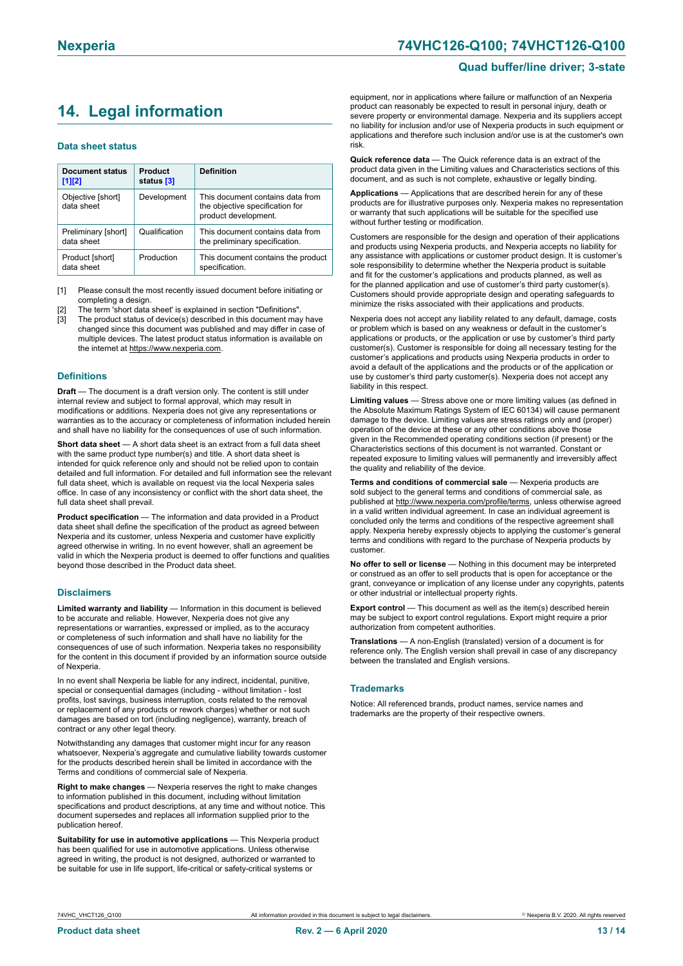# <span id="page-12-0"></span>**14. Legal information**

#### **Data sheet status**

| <b>Document status</b><br>$[1]$ [2] | Product<br>status [3] | <b>Definition</b>                                                                           |
|-------------------------------------|-----------------------|---------------------------------------------------------------------------------------------|
| Objective [short]<br>data sheet     | Development           | This document contains data from<br>the objective specification for<br>product development. |
| Preliminary [short]<br>data sheet   | Qualification         | This document contains data from<br>the preliminary specification.                          |
| Product [short]<br>data sheet       | Production            | This document contains the product<br>specification.                                        |

[1] Please consult the most recently issued document before initiating or completing a design.

The term 'short data sheet' is explained in section "Definitions".

[3] The product status of device(s) described in this document may have changed since this document was published and may differ in case of multiple devices. The latest product status information is available on the internet at [https://www.nexperia.com.](https://www.nexperia.com)

#### **Definitions**

**Draft** — The document is a draft version only. The content is still under internal review and subject to formal approval, which may result in modifications or additions. Nexperia does not give any representations or warranties as to the accuracy or completeness of information included herein and shall have no liability for the consequences of use of such information.

**Short data sheet** — A short data sheet is an extract from a full data sheet with the same product type number(s) and title. A short data sheet is intended for quick reference only and should not be relied upon to contain detailed and full information. For detailed and full information see the relevant full data sheet, which is available on request via the local Nexperia sales office. In case of any inconsistency or conflict with the short data sheet, the full data sheet shall prevail.

**Product specification** — The information and data provided in a Product data sheet shall define the specification of the product as agreed between Nexperia and its customer, unless Nexperia and customer have explicitly agreed otherwise in writing. In no event however, shall an agreement be valid in which the Nexperia product is deemed to offer functions and qualities beyond those described in the Product data sheet.

#### **Disclaimers**

**Limited warranty and liability** — Information in this document is believed to be accurate and reliable. However, Nexperia does not give any representations or warranties, expressed or implied, as to the accuracy or completeness of such information and shall have no liability for the consequences of use of such information. Nexperia takes no responsibility for the content in this document if provided by an information source outside of Nexperia.

In no event shall Nexperia be liable for any indirect, incidental, punitive, special or consequential damages (including - without limitation - lost profits, lost savings, business interruption, costs related to the removal or replacement of any products or rework charges) whether or not such damages are based on tort (including negligence), warranty, breach of contract or any other legal theory.

Notwithstanding any damages that customer might incur for any reason whatsoever, Nexperia's aggregate and cumulative liability towards customer for the products described herein shall be limited in accordance with the Terms and conditions of commercial sale of Nexperia.

**Right to make changes** — Nexperia reserves the right to make changes to information published in this document, including without limitation specifications and product descriptions, at any time and without notice. This document supersedes and replaces all information supplied prior to the publication hereof.

**Suitability for use in automotive applications** — This Nexperia product has been qualified for use in automotive applications. Unless otherwise agreed in writing, the product is not designed, authorized or warranted to be suitable for use in life support, life-critical or safety-critical systems or

#### **Quad buffer/line driver; 3-state**

equipment, nor in applications where failure or malfunction of an Nexperia product can reasonably be expected to result in personal injury, death or severe property or environmental damage. Nexperia and its suppliers accept no liability for inclusion and/or use of Nexperia products in such equipment or applications and therefore such inclusion and/or use is at the customer's own risk.

**Quick reference data** — The Quick reference data is an extract of the product data given in the Limiting values and Characteristics sections of this document, and as such is not complete, exhaustive or legally binding.

**Applications** — Applications that are described herein for any of these products are for illustrative purposes only. Nexperia makes no representation or warranty that such applications will be suitable for the specified use without further testing or modification.

Customers are responsible for the design and operation of their applications and products using Nexperia products, and Nexperia accepts no liability for any assistance with applications or customer product design. It is customer's sole responsibility to determine whether the Nexperia product is suitable and fit for the customer's applications and products planned, as well as for the planned application and use of customer's third party customer(s). Customers should provide appropriate design and operating safeguards to minimize the risks associated with their applications and products.

Nexperia does not accept any liability related to any default, damage, costs or problem which is based on any weakness or default in the customer's applications or products, or the application or use by customer's third party customer(s). Customer is responsible for doing all necessary testing for the customer's applications and products using Nexperia products in order to avoid a default of the applications and the products or of the application or use by customer's third party customer(s). Nexperia does not accept any liability in this respect.

**Limiting values** — Stress above one or more limiting values (as defined in the Absolute Maximum Ratings System of IEC 60134) will cause permanent damage to the device. Limiting values are stress ratings only and (proper) operation of the device at these or any other conditions above those given in the Recommended operating conditions section (if present) or the Characteristics sections of this document is not warranted. Constant or repeated exposure to limiting values will permanently and irreversibly affect the quality and reliability of the device.

**Terms and conditions of commercial sale** — Nexperia products are sold subject to the general terms and conditions of commercial sale, as published at [http://www.nexperia.com/profile/terms,](http://www.nexperia.com/profile/terms) unless otherwise agreed in a valid written individual agreement. In case an individual agreement is concluded only the terms and conditions of the respective agreement shall apply. Nexperia hereby expressly objects to applying the customer's general terms and conditions with regard to the purchase of Nexperia products by customer.

**No offer to sell or license** — Nothing in this document may be interpreted or construed as an offer to sell products that is open for acceptance or the grant, conveyance or implication of any license under any copyrights, patents or other industrial or intellectual property rights.

**Export control** — This document as well as the item(s) described herein may be subject to export control regulations. Export might require a prior authorization from competent authorities.

**Translations** — A non-English (translated) version of a document is for reference only. The English version shall prevail in case of any discrepancy between the translated and English versions.

#### **Trademarks**

Notice: All referenced brands, product names, service names and trademarks are the property of their respective owners.